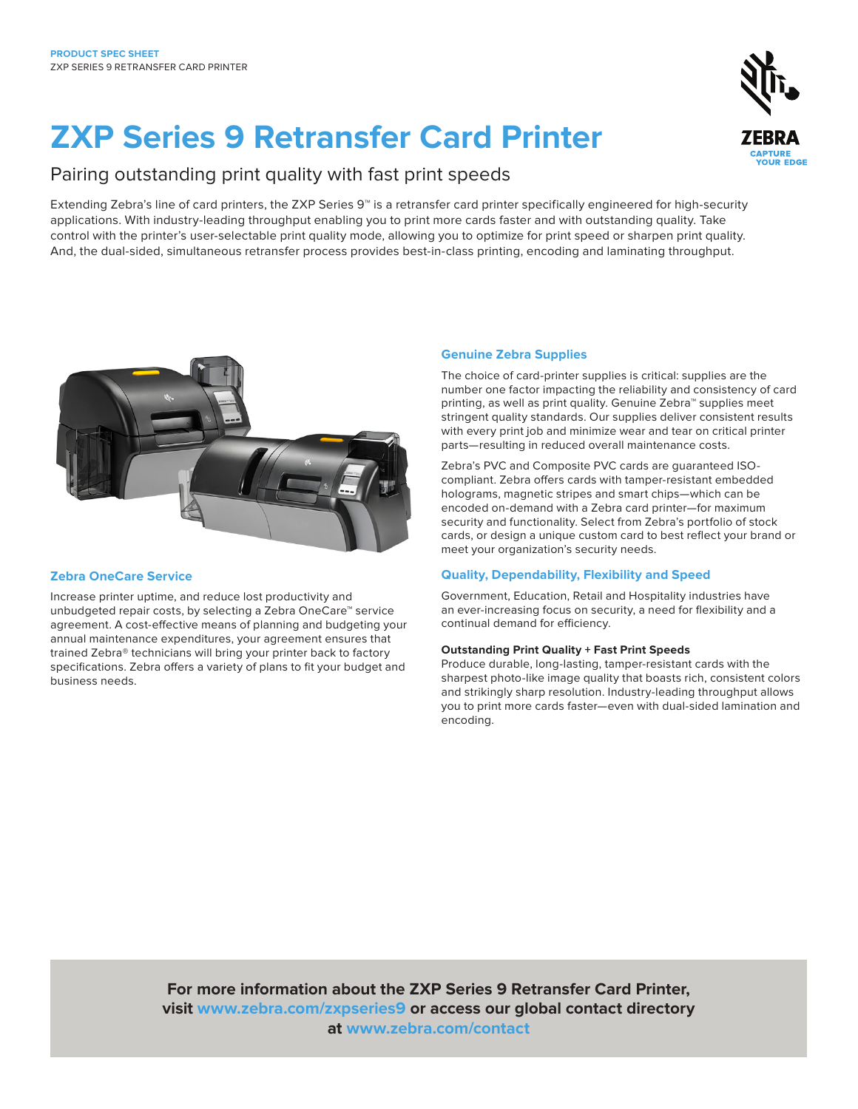# **ZXP Series 9 Retransfer Card Printer**

## Pairing outstanding print quality with fast print speeds

Extending Zebra's line of card printers, the ZXP Series 9™ is a retransfer card printer specifically engineered for high-security applications. With industry-leading throughput enabling you to print more cards faster and with outstanding quality. Take control with the printer's user-selectable print quality mode, allowing you to optimize for print speed or sharpen print quality. And, the dual-sided, simultaneous retransfer process provides best-in-class printing, encoding and laminating throughput.



## **Zebra OneCare Service**

Increase printer uptime, and reduce lost productivity and unbudgeted repair costs, by selecting a Zebra OneCare™ service agreement. A cost-effective means of planning and budgeting your annual maintenance expenditures, your agreement ensures that trained Zebra® technicians will bring your printer back to factory specifications. Zebra offers a variety of plans to fit your budget and business needs.

## **Genuine Zebra Supplies**

The choice of card-printer supplies is critical: supplies are the number one factor impacting the reliability and consistency of card printing, as well as print quality. Genuine Zebra™ supplies meet stringent quality standards. Our supplies deliver consistent results with every print job and minimize wear and tear on critical printer parts—resulting in reduced overall maintenance costs.

Zebra's PVC and Composite PVC cards are guaranteed ISOcompliant. Zebra offers cards with tamper-resistant embedded holograms, magnetic stripes and smart chips—which can be encoded on-demand with a Zebra card printer—for maximum security and functionality. Select from Zebra's portfolio of stock cards, or design a unique custom card to best reflect your brand or meet your organization's security needs.

## **Quality, Dependability, Flexibility and Speed**

Government, Education, Retail and Hospitality industries have an ever-increasing focus on security, a need for flexibility and a continual demand for efficiency.

## **Outstanding Print Quality + Fast Print Speeds**

Produce durable, long-lasting, tamper-resistant cards with the sharpest photo-like image quality that boasts rich, consistent colors and strikingly sharp resolution. Industry-leading throughput allows you to print more cards faster—even with dual-sided lamination and encoding.

**For more information about the ZXP Series 9 Retransfer Card Printer, visit [www.zebra.com/zxpseries9](http://www.zebra.com/zxpseries9) or access our global contact directory at [www.zebra.com/contact](http://www.zebra.com/contact)**

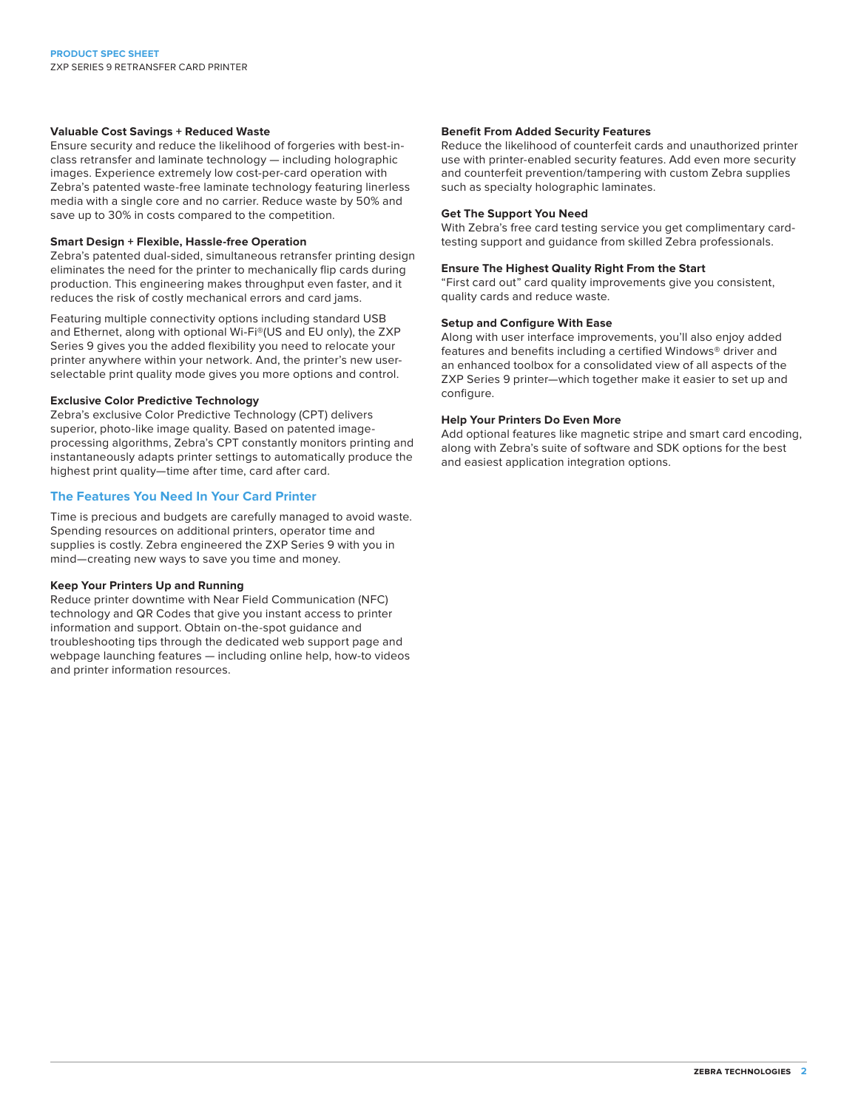### **Valuable Cost Savings + Reduced Waste**

Ensure security and reduce the likelihood of forgeries with best-inclass retransfer and laminate technology — including holographic images. Experience extremely low cost-per-card operation with Zebra's patented waste-free laminate technology featuring linerless media with a single core and no carrier. Reduce waste by 50% and save up to 30% in costs compared to the competition.

#### **Smart Design + Flexible, Hassle-free Operation**

Zebra's patented dual-sided, simultaneous retransfer printing design eliminates the need for the printer to mechanically flip cards during production. This engineering makes throughput even faster, and it reduces the risk of costly mechanical errors and card jams.

Featuring multiple connectivity options including standard USB and Ethernet, along with optional Wi-Fi®(US and EU only), the ZXP Series 9 gives you the added flexibility you need to relocate your printer anywhere within your network. And, the printer's new userselectable print quality mode gives you more options and control.

#### **Exclusive Color Predictive Technology**

Zebra's exclusive Color Predictive Technology (CPT) delivers superior, photo-like image quality. Based on patented imageprocessing algorithms, Zebra's CPT constantly monitors printing and instantaneously adapts printer settings to automatically produce the highest print quality—time after time, card after card.

## **The Features You Need In Your Card Printer**

Time is precious and budgets are carefully managed to avoid waste. Spending resources on additional printers, operator time and supplies is costly. Zebra engineered the ZXP Series 9 with you in mind—creating new ways to save you time and money.

## **Keep Your Printers Up and Running**

Reduce printer downtime with Near Field Communication (NFC) technology and QR Codes that give you instant access to printer information and support. Obtain on-the-spot guidance and troubleshooting tips through the dedicated web support page and webpage launching features — including online help, how-to videos and printer information resources.

## **Benefit From Added Security Features**

Reduce the likelihood of counterfeit cards and unauthorized printer use with printer-enabled security features. Add even more security and counterfeit prevention/tampering with custom Zebra supplies such as specialty holographic laminates.

### **Get The Support You Need**

With Zebra's free card testing service you get complimentary cardtesting support and guidance from skilled Zebra professionals.

#### **Ensure The Highest Quality Right From the Start**

"First card out" card quality improvements give you consistent, quality cards and reduce waste.

## **Setup and Configure With Ease**

Along with user interface improvements, you'll also enjoy added features and benefits including a certified Windows® driver and an enhanced toolbox for a consolidated view of all aspects of the ZXP Series 9 printer—which together make it easier to set up and configure.

#### **Help Your Printers Do Even More**

Add optional features like magnetic stripe and smart card encoding, along with Zebra's suite of software and SDK options for the best and easiest application integration options.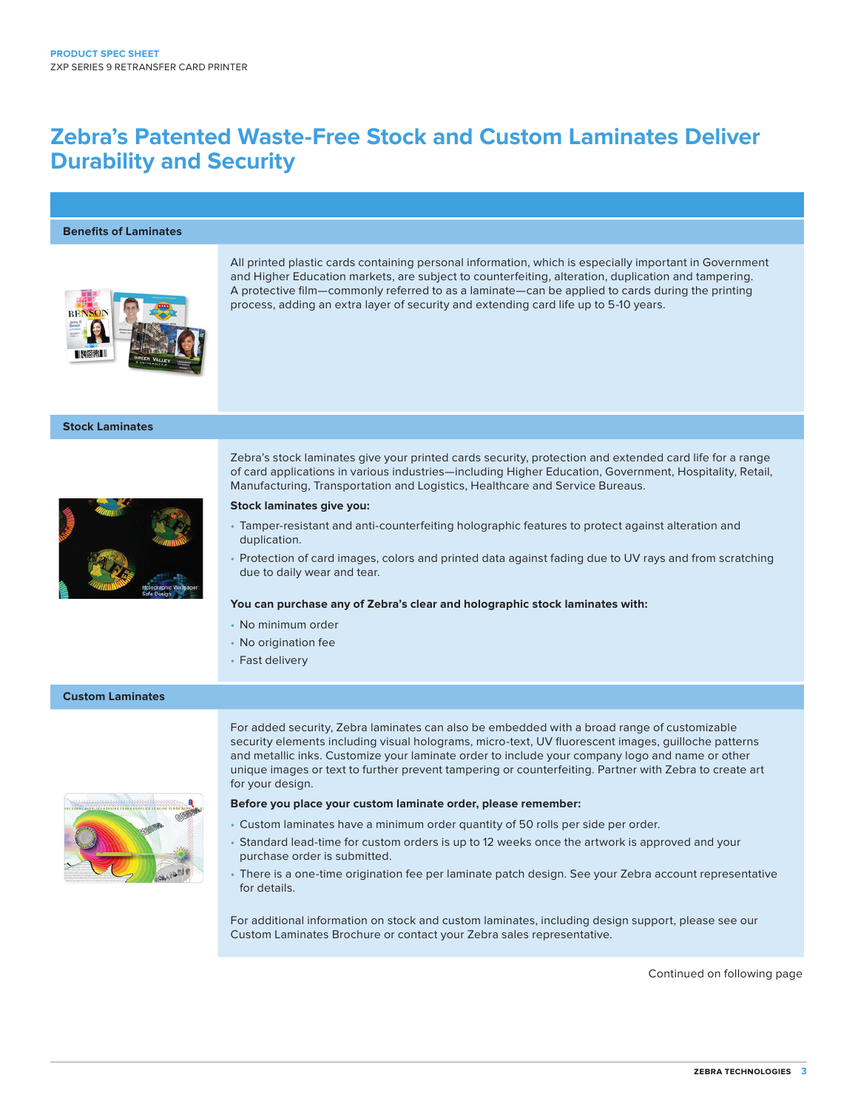## **Zebra's Patented Waste-Free Stock and Custom Laminates Deliver Durability and Security**

### **Benefits of Laminates**



All printed plastic cards containing personal information, which is especially important in Government and Higher Education markets, are subject to counterfeiting, alteration, duplication and tampering. A protective film—commonly referred to as a laminate—can be applied to cards during the printing process, adding an extra layer of security and extending card life up to 5-10 years.

## **Stock Laminates**



## Zebra's stock laminates give your printed cards security, protection and extended card life for a range of card applications in various industries—including Higher Education, Government, Hospitality, Retail, Manufacturing, Transportation and Logistics, Healthcare and Service Bureaus.

#### **Stock laminates give you:**

- Tamper-resistant and anti-counterfeiting holographic features to protect against alteration and duplication.
- Protection of card images, colors and printed data against fading due to UV rays and from scratching due to daily wear and tear.

#### **You can purchase any of Zebra's clear and holographic stock laminates with:**

- No minimum order
- No origination fee
- Fast delivery

#### **Custom Laminates**



For added security, Zebra laminates can also be embedded with a broad range of customizable security elements including visual holograms, micro-text, UV fluorescent images, guilloche patterns and metallic inks. Customize your laminate order to include your company logo and name or other unique images or text to further prevent tampering or counterfeiting. Partner with Zebra to create art for your design.

#### **Before you place your custom laminate order, please remember:**

- Custom laminates have a minimum order quantity of 50 rolls per side per order.
- Standard lead-time for custom orders is up to 12 weeks once the artwork is approved and your purchase order is submitted.
- There is a one-time origination fee per laminate patch design. See your Zebra account representative for details.

For additional information on stock and custom laminates, including design support, please see our Custom Laminates Brochure or contact your Zebra sales representative.

Continued on following page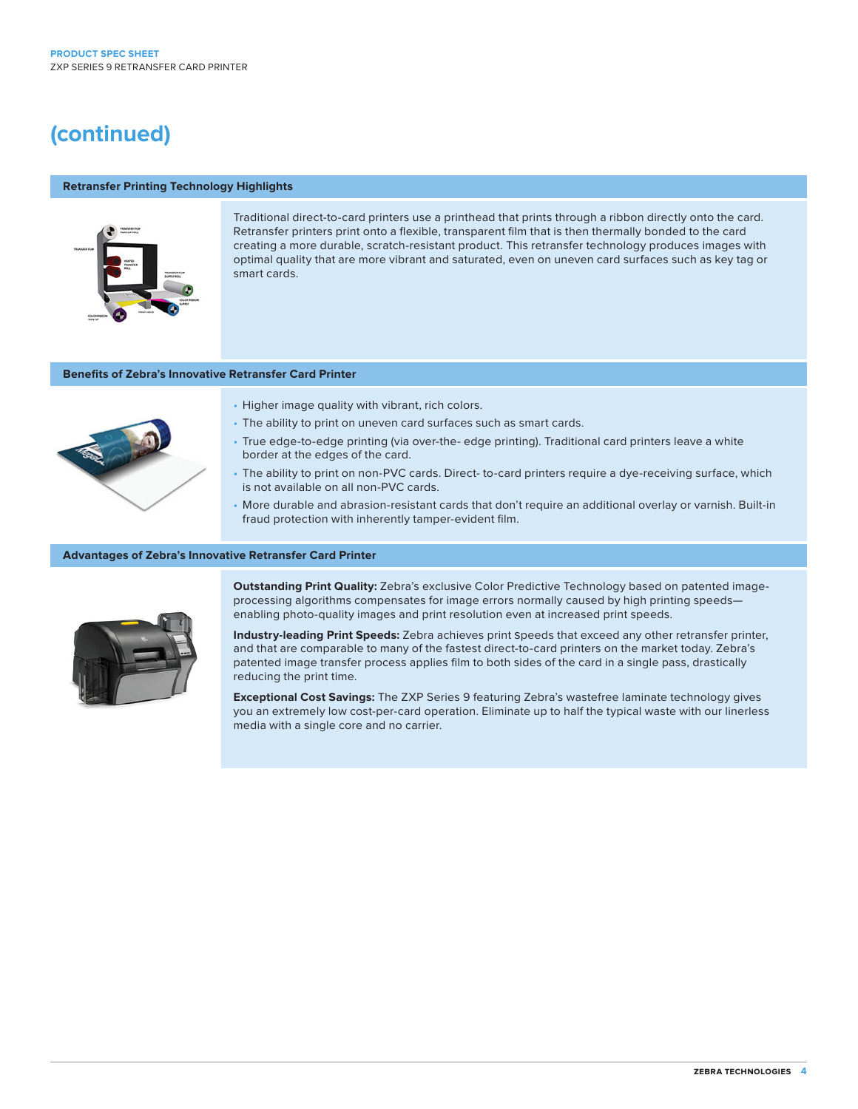## **(continued)**

## **Retransfer Printing Technology Highlights**



Traditional direct-to-card printers use a printhead that prints through a ribbon directly onto the card. Retransfer printers print onto a flexible, transparent film that is then thermally bonded to the card creating a more durable, scratch-resistant product. This retransfer technology produces images with optimal quality that are more vibrant and saturated, even on uneven card surfaces such as key tag or smart cards.

### **Benefits of Zebra's Innovative Retransfer Card Printer**



- Higher image quality with vibrant, rich colors.
- The ability to print on uneven card surfaces such as smart cards.
- True edge-to-edge printing (via over-the- edge printing). Traditional card printers leave a white border at the edges of the card.
- The ability to print on non-PVC cards. Direct- to-card printers require a dye-receiving surface, which is not available on all non-PVC cards.
- More durable and abrasion-resistant cards that don't require an additional overlay or varnish. Built-in fraud protection with inherently tamper-evident film.

## **Advantages of Zebra's Innovative Retransfer Card Printer**



**Outstanding Print Quality:** Zebra's exclusive Color Predictive Technology based on patented imageprocessing algorithms compensates for image errors normally caused by high printing speeds enabling photo-quality images and print resolution even at increased print speeds.

**Industry-leading Print Speeds:** Zebra achieves print Speeds that exceed any other retransfer printer, and that are comparable to many of the fastest direct-to-card printers on the market today. Zebra's patented image transfer process applies film to both sides of the card in a single pass, drastically reducing the print time.

**Exceptional Cost Savings:** The ZXP Series 9 featuring Zebra's wastefree laminate technology gives you an extremely low cost-per-card operation. Eliminate up to half the typical waste with our linerless media with a single core and no carrier.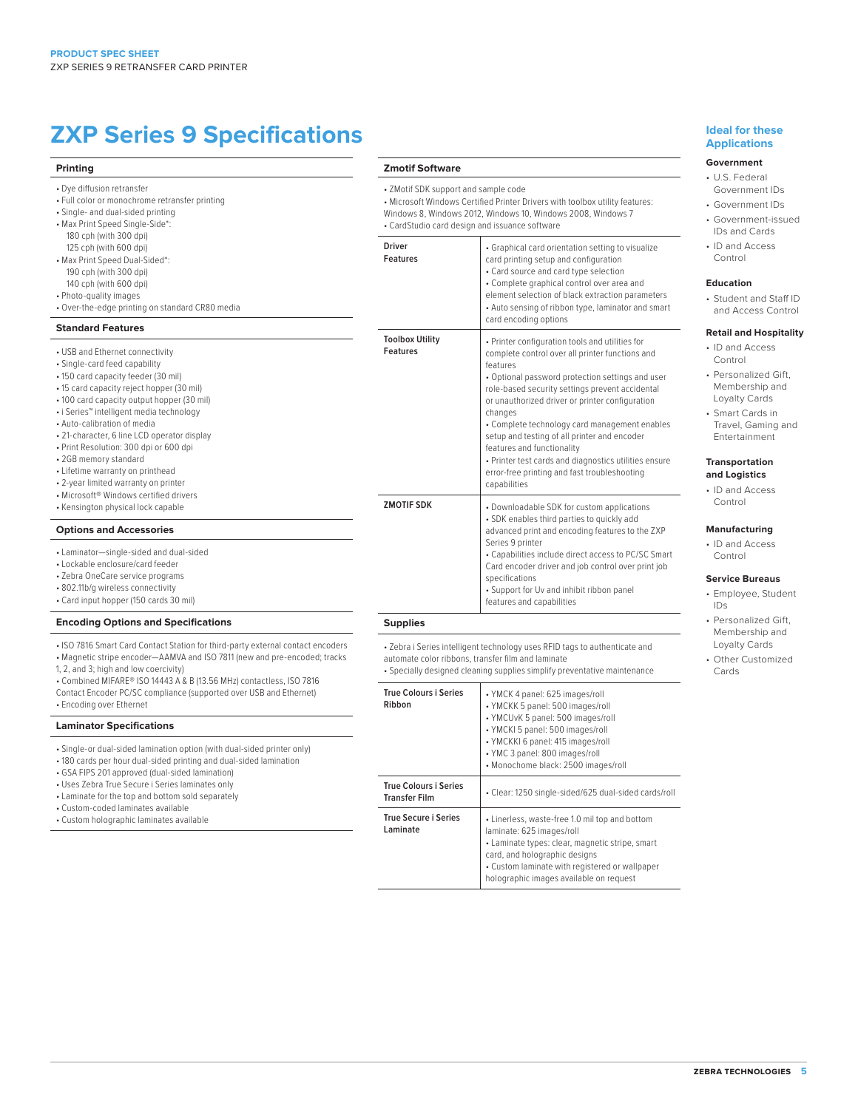## **ZXP Series 9 Specifications Ideal for these**

#### **Printing**

- Dye diffusion retransfer
- Full color or monochrome retransfer printing
- Single- and dual-sided printing • Max Print Speed Single-Side\*:
- 180 cph (with 300 dpi)
- 125 cph (with 600 dpi) • Max Print Speed Dual-Sided\*: 190 cph (with 300 dpi)
- 140 cph (with 600 dpi)
- Photo-quality images
- Over-the-edge printing on standard CR80 media

#### **Standard Features**

- USB and Ethernet connectivity
- Single-card feed capability
- 150 card capacity feeder (30 mil)
- 15 card capacity reject hopper (30 mil)
- 100 card capacity output hopper (30 mil)
- i Series™ intelligent media technology
- Auto-calibration of media
- 21-character, 6 line LCD operator display
- Print Resolution: 300 dpi or 600 dpi
- 2GB memory standard
- Lifetime warranty on printhead
- 2-year limited warranty on printer
- Microsoft® Windows certified drivers
- Kensington physical lock capable

#### **Options and Accessories**

- 
- Laminator—single-sided and dual-sided
- Lockable enclosure/card feeder
- Zebra OneCare service programs
- 802.11b/g wireless connectivity
- Card input hopper (150 cards 30 mil)

### **Encoding Options and Specifications**

- ISO 7816 Smart Card Contact Station for third-party external contact encoders
- Magnetic stripe encoder—AAMVA and ISO 7811 (new and pre-encoded; tracks
- 1, 2, and 3; high and low coercivity)
- Combined MIFARE® ISO 14443 A & B (13.56 MHz) contactless, ISO 7816
- Contact Encoder PC/SC compliance (supported over USB and Ethernet) • Encoding over Ethernet

#### **Laminator Specifications**

- Single-or dual-sided lamination option (with dual-sided printer only)
- 180 cards per hour dual-sided printing and dual-sided lamination
- GSA FIPS 201 approved (dual-sided lamination)
- Uses Zebra True Secure i Series laminates only
- Laminate for the top and bottom sold separately
- Custom-coded laminates available

• Custom holographic laminates available

## **Zmotif Software**

• ZMotif SDK support and sample code

• Microsoft Windows Certified Printer Drivers with toolbox utility features: Windows 8, Windows 2012, Windows 10, Windows 2008, Windows 7

• CardStudio card design and issuance software

| <b>Driver</b><br><b>Features</b>          | • Graphical card orientation setting to visualize<br>card printing setup and configuration<br>• Card source and card type selection<br>• Complete graphical control over area and<br>element selection of black extraction parameters<br>• Auto sensing of ribbon type, laminator and smart<br>card encoding options                                                                                                                                                                                                                        |
|-------------------------------------------|---------------------------------------------------------------------------------------------------------------------------------------------------------------------------------------------------------------------------------------------------------------------------------------------------------------------------------------------------------------------------------------------------------------------------------------------------------------------------------------------------------------------------------------------|
| <b>Toolbox Utility</b><br><b>Features</b> | • Printer configuration tools and utilities for<br>complete control over all printer functions and<br>features<br>• Optional password protection settings and user<br>role-based security settings prevent accidental<br>or unauthorized driver or printer configuration<br>changes<br>• Complete technology card management enables<br>setup and testing of all printer and encoder<br>features and functionality<br>• Printer test cards and diagnostics utilities ensure<br>error-free printing and fast troubleshooting<br>capabilities |
| <b>ZMOTIF SDK</b>                         | • Downloadable SDK for custom applications<br>· SDK enables third parties to quickly add<br>advanced print and encoding features to the ZXP<br>Series 9 printer<br>• Capabilities include direct access to PC/SC Smart<br>Card encoder driver and job control over print job<br>specifications<br>• Support for Uv and inhibit ribbon panel<br>features and capabilities                                                                                                                                                                    |

#### **Supplies**

• Zebra i Series intelligent technology uses RFID tags to authenticate and automate color ribbons, transfer film and laminate • Specially designed cleaning supplies simplify preventative maintenance

| <b>True Colours i Series</b><br>Ribbon               | • YMCK 4 panel: 625 images/roll<br>• YMCKK 5 panel: 500 images/roll<br>• YMCUvK 5 panel: 500 images/roll<br>· YMCKI 5 panel: 500 images/roll<br>· YMCKKI 6 panel: 415 images/roll<br>• YMC 3 panel: 800 images/roll<br>• Monochome black: 2500 images/roll   |
|------------------------------------------------------|--------------------------------------------------------------------------------------------------------------------------------------------------------------------------------------------------------------------------------------------------------------|
| <b>True Colours i Series</b><br><b>Transfer Film</b> | · Clear: 1250 single-sided/625 dual-sided cards/roll                                                                                                                                                                                                         |
| True Secure i Series<br>Laminate                     | • Linerless, waste-free 1.0 mil top and bottom<br>laminate: 625 images/roll<br>• Laminate types: clear, magnetic stripe, smart<br>card, and holographic designs<br>• Custom laminate with registered or wallpaper<br>holographic images available on request |

## **Applications**

#### **Government**

- U.S. Federal Government IDs
- Government IDs
- Government-issued
- IDs and Cards • ID and Access
- Control

#### **Education**

• Student and Staff ID and Access Control

#### **Retail and Hospitality**

- ID and Access Control
- Personalized Gift, Membership and Loyalty Cards
- Smart Cards in Travel, Gaming and Entertainment

#### **Transportation and Logistics**

• ID and Access Control

#### **Manufacturing**

• ID and Access Control

#### **Service Bureaus**

- Employee, Student IDs
- Personalized Gift, Membership and Loyalty Cards
- Other Customized Cards